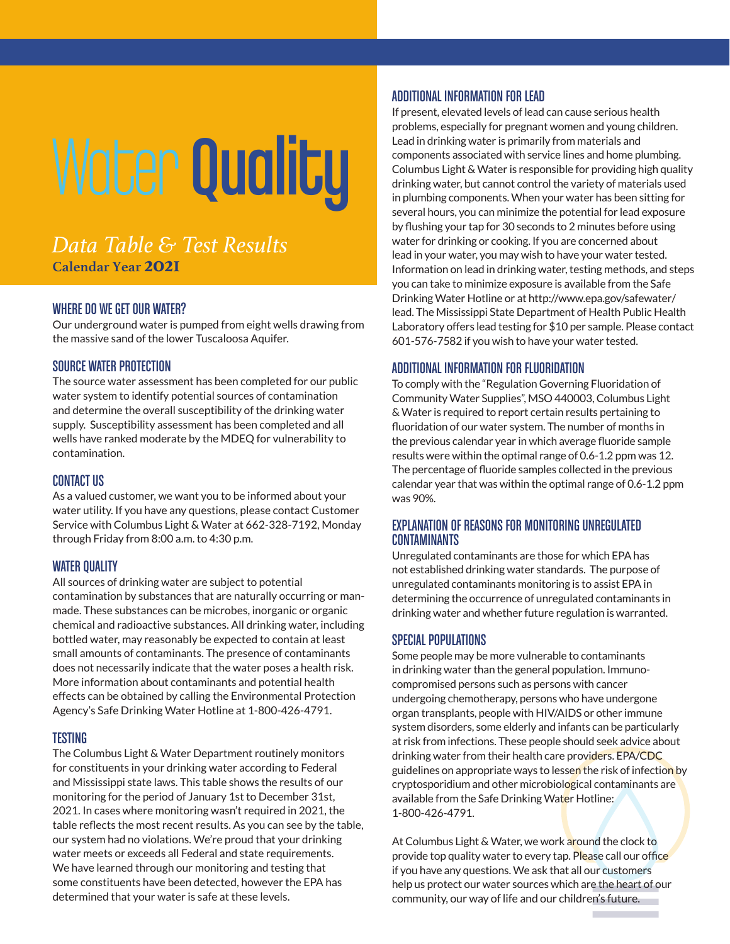# Water Quality

# *Data Table & Test Results* **Calendar Year 2021**

### WHERE DO WE GET OUR WATER?

Our underground water is pumped from eight wells drawing from the massive sand of the lower Tuscaloosa Aquifer.

#### SOURCE WATER PROTECTION

The source water assessment has been completed for our public water system to identify potential sources of contamination and determine the overall susceptibility of the drinking water supply. Susceptibility assessment has been completed and all wells have ranked moderate by the MDEQ for vulnerability to contamination.

#### CONTACT US

As a valued customer, we want you to be informed about your water utility. If you have any questions, please contact Customer Service with Columbus Light & Water at 662-328-7192, Monday through Friday from 8:00 a.m. to 4:30 p.m.

#### WATER QUALITY

All sources of drinking water are subject to potential contamination by substances that are naturally occurring or manmade. These substances can be microbes, inorganic or organic chemical and radioactive substances. All drinking water, including bottled water, may reasonably be expected to contain at least small amounts of contaminants. The presence of contaminants does not necessarily indicate that the water poses a health risk. More information about contaminants and potential health effects can be obtained by calling the Environmental Protection Agency's Safe Drinking Water Hotline at 1-800-426-4791.

#### TESTING

The Columbus Light & Water Department routinely monitors for constituents in your drinking water according to Federal and Mississippi state laws. This table shows the results of our monitoring for the period of January 1st to December 31st, 2021. In cases where monitoring wasn't required in 2021, the table reflects the most recent results. As you can see by the table, our system had no violations. We're proud that your drinking water meets or exceeds all Federal and state requirements. We have learned through our monitoring and testing that some constituents have been detected, however the EPA has determined that your water is safe at these levels.

#### ADDITIONAL INFORMATION FOR LEAD

If present, elevated levels of lead can cause serious health problems, especially for pregnant women and young children. Lead in drinking water is primarily from materials and components associated with service lines and home plumbing. Columbus Light & Water is responsible for providing high quality drinking water, but cannot control the variety of materials used in plumbing components. When your water has been sitting for several hours, you can minimize the potential for lead exposure by flushing your tap for 30 seconds to 2 minutes before using water for drinking or cooking. If you are concerned about lead in your water, you may wish to have your water tested. Information on lead in drinking water, testing methods, and steps you can take to minimize exposure is available from the Safe Drinking Water Hotline or at http://www.epa.gov/safewater/ lead. The Mississippi State Department of Health Public Health Laboratory offers lead testing for \$10 per sample. Please contact 601-576-7582 if you wish to have your water tested.

## ADDITIONAL INFORMATION FOR FLUORIDATION

To comply with the "Regulation Governing Fluoridation of Community Water Supplies", MSO 440003, Columbus Light & Water is required to report certain results pertaining to fluoridation of our water system. The number of months in the previous calendar year in which average fluoride sample results were within the optimal range of 0.6-1.2 ppm was 12. The percentage of fluoride samples collected in the previous calendar year that was within the optimal range of 0.6-1.2 ppm was 90%.

#### EXPLANATION OF REASONS FOR MONITORING UNREGULATED CONTAMINANTS

Unregulated contaminants are those for which EPA has not established drinking water standards. The purpose of unregulated contaminants monitoring is to assist EPA in determining the occurrence of unregulated contaminants in drinking water and whether future regulation is warranted.

#### SPECIAL POPULATIONS

Some people may be more vulnerable to contaminants in drinking water than the general population. Immunocompromised persons such as persons with cancer undergoing chemotherapy, persons who have undergone organ transplants, people with HIV/AIDS or other immune system disorders, some elderly and infants can be particularly at risk from infections. These people should seek advice about drinking water from their health care providers. EPA/CDC guidelines on appropriate ways to lessen the risk of infection by cryptosporidium and other microbiological contaminants are available from the Safe Drinking Water Hotline: 1-800-426-4791.

At Columbus Light & Water, we work around the clock to provide top quality water to every tap. Please call our office if you have any questions. We ask that all our customers help us protect our water sources which are the heart of our community, our way of life and our children's future.